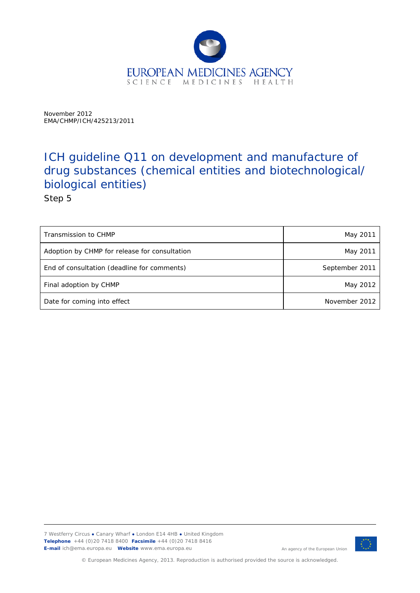

November 2012 EMA/CHMP/ICH/425213/2011

# ICH guideline Q11 on development and manufacture of drug substances (chemical entities and biotechnological/ biological entities)

Step 5

| Transmission to CHMP                          | May 2011       |
|-----------------------------------------------|----------------|
| Adoption by CHMP for release for consultation | May 2011       |
| End of consultation (deadline for comments)   | September 2011 |
| Final adoption by CHMP                        | May 2012       |
| Date for coming into effect                   | November 2012  |

7 Westferry Circus **●** Canary Wharf **●** London E14 4HB **●** United Kingdom **Telephone** +44 (0)20 7418 8400 **Facsimile** +44 (0)20 7418 8416 **E-mail** ich@ema.europa.eu **Website** www.ema.europa.eu



An agency of the European Union

© European Medicines Agency, 2013. Reproduction is authorised provided the source is acknowledged.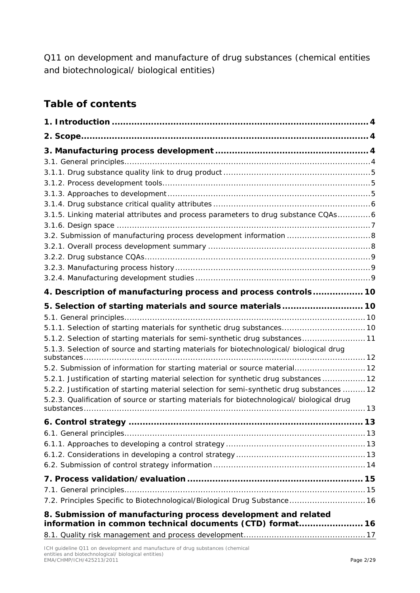Q11 on development and manufacture of drug substances (chemical entities and biotechnological/ biological entities)

# **Table of contents**

| 3.1.5. Linking material attributes and process parameters to drug substance CQAs6          |  |
|--------------------------------------------------------------------------------------------|--|
|                                                                                            |  |
| 3.2. Submission of manufacturing process development information  8                        |  |
|                                                                                            |  |
|                                                                                            |  |
|                                                                                            |  |
|                                                                                            |  |
| 4. Description of manufacturing process and process controls 10                            |  |
|                                                                                            |  |
|                                                                                            |  |
| 5.1.1. Selection of starting materials for synthetic drug substances 10                    |  |
| 5.1.2. Selection of starting materials for semi-synthetic drug substances 11               |  |
| 5.1.3. Selection of source and starting materials for biotechnological/ biological drug    |  |
| 5.2. Submission of information for starting material or source material 12                 |  |
| 5.2.1. Justification of starting material selection for synthetic drug substances  12      |  |
| 5.2.2. Justification of starting material selection for semi-synthetic drug substances  12 |  |
| 5.2.3. Qualification of source or starting materials for biotechnological/ biological drug |  |
|                                                                                            |  |
|                                                                                            |  |
|                                                                                            |  |
|                                                                                            |  |
|                                                                                            |  |
|                                                                                            |  |
|                                                                                            |  |
|                                                                                            |  |
| 7.2. Principles Specific to Biotechnological/Biological Drug Substance 16                  |  |
| 8. Submission of manufacturing process development and related                             |  |
| information in common technical documents (CTD) format 16                                  |  |
|                                                                                            |  |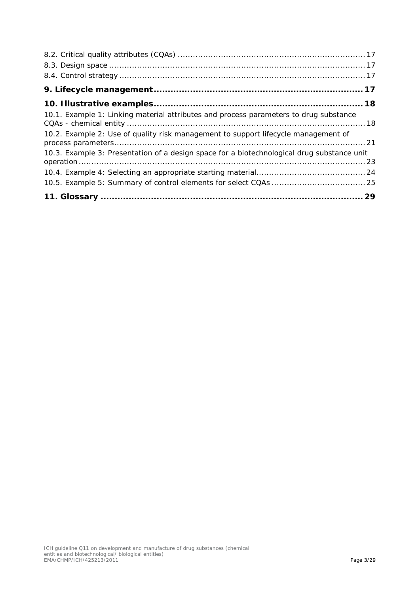| 10.1. Example 1: Linking material attributes and process parameters to drug substance      |
|--------------------------------------------------------------------------------------------|
| 10.2. Example 2: Use of quality risk management to support lifecycle management of         |
| 10.3. Example 3: Presentation of a design space for a biotechnological drug substance unit |
|                                                                                            |
|                                                                                            |
|                                                                                            |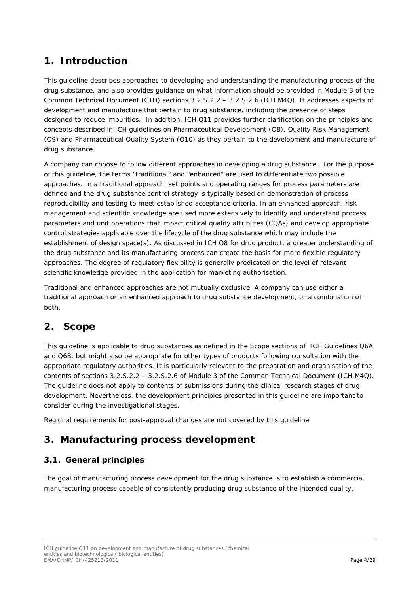## <span id="page-3-0"></span>**1. Introduction**

This guideline describes approaches to developing and understanding the manufacturing process of the drug substance, and also provides guidance on what information should be provided in Module 3 of the Common Technical Document (CTD) sections 3.2.S.2.2 – 3.2.S.2.6 (ICH M4Q). It addresses aspects of development and manufacture that pertain to drug substance, including the presence of steps designed to reduce impurities. In addition, ICH Q11 provides further clarification on the principles and concepts described in ICH guidelines on Pharmaceutical Development (Q8), Quality Risk Management (Q9) and Pharmaceutical Quality System (Q10) as they pertain to the development and manufacture of drug substance.

A company can choose to follow different approaches in developing a drug substance. For the purpose of this guideline, the terms "traditional" and "enhanced" are used to differentiate two possible approaches. In a traditional approach, set points and operating ranges for process parameters are defined and the drug substance control strategy is typically based on demonstration of process reproducibility and testing to meet established acceptance criteria. In an enhanced approach, risk management and scientific knowledge are used more extensively to identify and understand process parameters and unit operations that impact critical quality attributes (CQAs) and develop appropriate control strategies applicable over the lifecycle of the drug substance which may include the establishment of design space(s). As discussed in ICH Q8 for drug product, a greater understanding of the drug substance and its manufacturing process can create the basis for more flexible regulatory approaches. The degree of regulatory flexibility is generally predicated on the level of relevant scientific knowledge provided in the application for marketing authorisation.

Traditional and enhanced approaches are not mutually exclusive. A company can use either a traditional approach or an enhanced approach to drug substance development, or a combination of both.

### <span id="page-3-1"></span>**2. Scope**

This guideline is applicable to drug substances as defined in the Scope sections of ICH Guidelines Q6A and Q6B, but might also be appropriate for other types of products following consultation with the appropriate regulatory authorities. It is particularly relevant to the preparation and organisation of the contents of sections 3.2.S.2.2 – 3.2.S.2.6 of Module 3 of the Common Technical Document (ICH M4Q). The guideline does not apply to contents of submissions during the clinical research stages of drug development. Nevertheless, the development principles presented in this guideline are important to consider during the investigational stages.

Regional requirements for post-approval changes are not covered by this guideline.

## <span id="page-3-2"></span>**3. Manufacturing process development**

#### <span id="page-3-3"></span>*3.1. General principles*

The goal of manufacturing process development for the drug substance is to establish a commercial manufacturing process capable of consistently producing drug substance of the intended quality.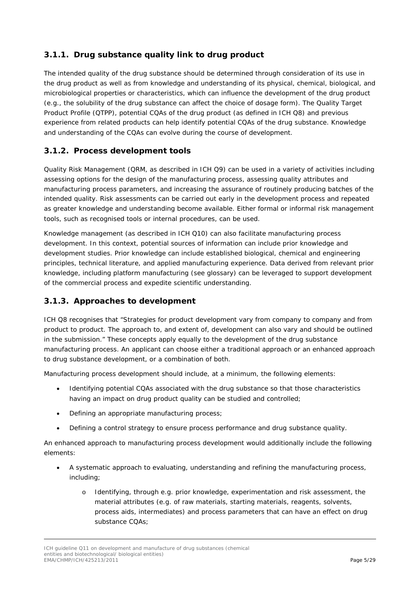### <span id="page-4-0"></span>**3.1.1. Drug substance quality link to drug product**

The intended quality of the drug substance should be determined through consideration of its use in the drug product as well as from knowledge and understanding of its physical, chemical, biological, and microbiological properties or characteristics, which can influence the development of the drug product (e.g., the solubility of the drug substance can affect the choice of dosage form). The Quality Target Product Profile (QTPP), potential CQAs of the drug product (as defined in ICH Q8) and previous experience from related products can help identify potential CQAs of the drug substance. Knowledge and understanding of the CQAs can evolve during the course of development.

#### <span id="page-4-1"></span>**3.1.2. Process development tools**

Quality Risk Management (QRM, as described in ICH Q9) can be used in a variety of activities including assessing options for the design of the manufacturing process, assessing quality attributes and manufacturing process parameters, and increasing the assurance of routinely producing batches of the intended quality. Risk assessments can be carried out early in the development process and repeated as greater knowledge and understanding become available. Either formal or informal risk management tools, such as recognised tools or internal procedures, can be used.

Knowledge management (as described in ICH Q10) can also facilitate manufacturing process development. In this context, potential sources of information can include prior knowledge and development studies. Prior knowledge can include established biological, chemical and engineering principles, technical literature, and applied manufacturing experience. Data derived from relevant prior knowledge, including platform manufacturing (see glossary) can be leveraged to support development of the commercial process and expedite scientific understanding.

#### <span id="page-4-2"></span>**3.1.3. Approaches to development**

ICH Q8 recognises that "Strategies for product development vary from company to company and from product to product. The approach to, and extent of, development can also vary and should be outlined in the submission." These concepts apply equally to the development of the drug substance manufacturing process. An applicant can choose either a traditional approach or an enhanced approach to drug substance development, or a combination of both.

Manufacturing process development should include, at a minimum, the following elements:

- Identifying potential CQAs associated with the drug substance so that those characteristics having an impact on drug product quality can be studied and controlled;
- Defining an appropriate manufacturing process;
- Defining a control strategy to ensure process performance and drug substance quality.

An enhanced approach to manufacturing process development would additionally include the following elements:

- A systematic approach to evaluating, understanding and refining the manufacturing process, including;
	- Identifying, through e.g. prior knowledge, experimentation and risk assessment, the material attributes (e.g. of raw materials, starting materials, reagents, solvents, process aids, intermediates) and process parameters that can have an effect on drug substance CQAs;

ICH guideline Q11 on development and manufacture of drug substances (chemical entities and biotechnological/ biological entities) EMA/CHMP/ICH/425213/2011 Page 5/29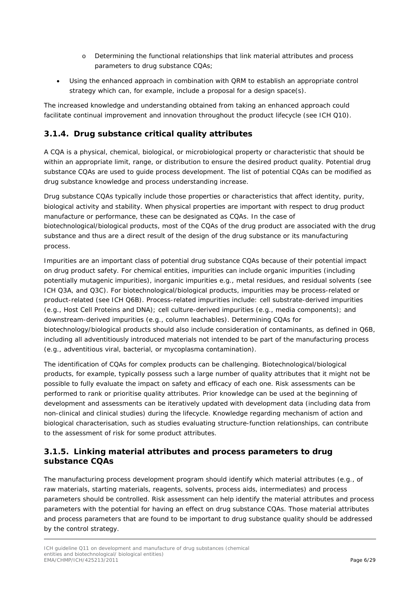- o Determining the functional relationships that link material attributes and process parameters to drug substance CQAs;
- Using the enhanced approach in combination with QRM to establish an appropriate control strategy which can, for example, include a proposal for a design space(s).

The increased knowledge and understanding obtained from taking an enhanced approach could facilitate continual improvement and innovation throughout the product lifecycle (see ICH Q10).

#### <span id="page-5-0"></span>**3.1.4. Drug substance critical quality attributes**

A CQA is a physical, chemical, biological, or microbiological property or characteristic that should be within an appropriate limit, range, or distribution to ensure the desired product quality. Potential drug substance CQAs are used to guide process development. The list of potential CQAs can be modified as drug substance knowledge and process understanding increase.

Drug substance CQAs typically include those properties or characteristics that affect identity, purity, biological activity and stability. When physical properties are important with respect to drug product manufacture or performance, these can be designated as CQAs. In the case of biotechnological/biological products, most of the CQAs of the drug product are associated with the drug substance and thus are a direct result of the design of the drug substance or its manufacturing process.

Impurities are an important class of potential drug substance CQAs because of their potential impact on drug product safety. For chemical entities, impurities can include organic impurities (including potentially mutagenic impurities), inorganic impurities e.g., metal residues, and residual solvents (see ICH Q3A, and Q3C). For biotechnological/biological products, impurities may be process-related or product-related (see ICH Q6B). Process-related impurities include: cell substrate-derived impurities (e.g., Host Cell Proteins and DNA); cell culture-derived impurities (e.g., media components); and downstream-derived impurities (e.g., column leachables). Determining CQAs for biotechnology/biological products should also include consideration of contaminants, as defined in Q6B, including all adventitiously introduced materials not intended to be part of the manufacturing process (e.g., adventitious viral, bacterial, or mycoplasma contamination).

The identification of CQAs for complex products can be challenging. Biotechnological/biological products, for example, typically possess such a large number of quality attributes that it might not be possible to fully evaluate the impact on safety and efficacy of each one. Risk assessments can be performed to rank or prioritise quality attributes. Prior knowledge can be used at the beginning of development and assessments can be iteratively updated with development data (including data from non-clinical and clinical studies) during the lifecycle. Knowledge regarding mechanism of action and biological characterisation, such as studies evaluating structure-function relationships, can contribute to the assessment of risk for some product attributes.

#### <span id="page-5-1"></span>**3.1.5. Linking material attributes and process parameters to drug substance CQAs**

The manufacturing process development program should identify which material attributes (e.g., of raw materials, starting materials, reagents, solvents, process aids, intermediates) and process parameters should be controlled. Risk assessment can help identify the material attributes and process parameters with the potential for having an effect on drug substance CQAs. Those material attributes and process parameters that are found to be important to drug substance quality should be addressed by the control strategy.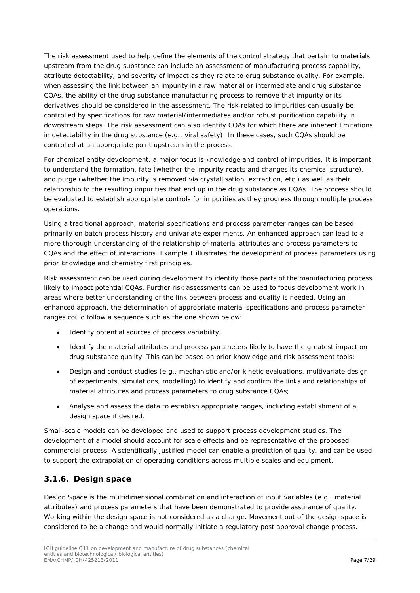The risk assessment used to help define the elements of the control strategy that pertain to materials upstream from the drug substance can include an assessment of manufacturing process capability, attribute detectability, and severity of impact as they relate to drug substance quality. For example, when assessing the link between an impurity in a raw material or intermediate and drug substance CQAs, the ability of the drug substance manufacturing process to remove that impurity or its derivatives should be considered in the assessment. The risk related to impurities can usually be controlled by specifications for raw material/intermediates and/or robust purification capability in downstream steps. The risk assessment can also identify CQAs for which there are inherent limitations in detectability in the drug substance (e.g., viral safety). In these cases, such CQAs should be controlled at an appropriate point upstream in the process.

For chemical entity development, a major focus is knowledge and control of impurities. It is important to understand the formation, fate (whether the impurity reacts and changes its chemical structure), and purge (whether the impurity is removed via crystallisation, extraction, etc.) as well as their relationship to the resulting impurities that end up in the drug substance as CQAs. The process should be evaluated to establish appropriate controls for impurities as they progress through multiple process operations.

Using a traditional approach, material specifications and process parameter ranges can be based primarily on batch process history and univariate experiments. An enhanced approach can lead to a more thorough understanding of the relationship of material attributes and process parameters to CQAs and the effect of interactions. Example 1 illustrates the development of process parameters using prior knowledge and chemistry first principles.

Risk assessment can be used during development to identify those parts of the manufacturing process likely to impact potential CQAs. Further risk assessments can be used to focus development work in areas where better understanding of the link between process and quality is needed. Using an enhanced approach, the determination of appropriate material specifications and process parameter ranges could follow a sequence such as the one shown below:

- Identify potential sources of process variability;
- Identify the material attributes and process parameters likely to have the greatest impact on drug substance quality. This can be based on prior knowledge and risk assessment tools;
- Design and conduct studies (e.g., mechanistic and/or kinetic evaluations, multivariate design of experiments, simulations, modelling) to identify and confirm the links and relationships of material attributes and process parameters to drug substance CQAs;
- Analyse and assess the data to establish appropriate ranges, including establishment of a design space if desired.

Small-scale models can be developed and used to support process development studies. The development of a model should account for scale effects and be representative of the proposed commercial process. A scientifically justified model can enable a prediction of quality, and can be used to support the extrapolation of operating conditions across multiple scales and equipment.

#### <span id="page-6-0"></span>**3.1.6. Design space**

Design Space is the multidimensional combination and interaction of input variables (e.g., material attributes) and process parameters that have been demonstrated to provide assurance of quality. Working within the design space is not considered as a change. Movement out of the design space is considered to be a change and would normally initiate a regulatory post approval change process.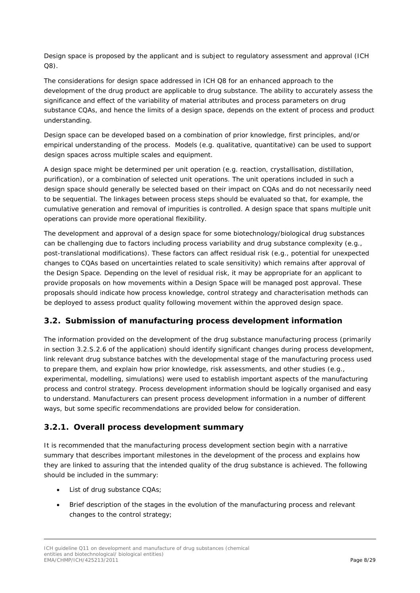Design space is proposed by the applicant and is subject to regulatory assessment and approval (ICH Q8).

The considerations for design space addressed in ICH Q8 for an enhanced approach to the development of the drug product are applicable to drug substance. The ability to accurately assess the significance and effect of the variability of material attributes and process parameters on drug substance CQAs, and hence the limits of a design space, depends on the extent of process and product understanding.

Design space can be developed based on a combination of prior knowledge, first principles, and/or empirical understanding of the process. Models (e.g. qualitative, quantitative) can be used to support design spaces across multiple scales and equipment.

A design space might be determined per unit operation (e.g. reaction, crystallisation, distillation, purification), or a combination of selected unit operations. The unit operations included in such a design space should generally be selected based on their impact on CQAs and do not necessarily need to be sequential. The linkages between process steps should be evaluated so that, for example, the cumulative generation and removal of impurities is controlled. A design space that spans multiple unit operations can provide more operational flexibility.

The development and approval of a design space for some biotechnology/biological drug substances can be challenging due to factors including process variability and drug substance complexity (e.g., post-translational modifications). These factors can affect residual risk (e.g., potential for unexpected changes to CQAs based on uncertainties related to scale sensitivity) which remains after approval of the Design Space. Depending on the level of residual risk, it may be appropriate for an applicant to provide proposals on how movements within a Design Space will be managed post approval. These proposals should indicate how process knowledge, control strategy and characterisation methods can be deployed to assess product quality following movement within the approved design space.

#### <span id="page-7-0"></span>*3.2. Submission of manufacturing process development information*

The information provided on the development of the drug substance manufacturing process (primarily in section 3.2.S.2.6 of the application) should identify significant changes during process development, link relevant drug substance batches with the developmental stage of the manufacturing process used to prepare them, and explain how prior knowledge, risk assessments, and other studies (e.g., experimental, modelling, simulations) were used to establish important aspects of the manufacturing process and control strategy. Process development information should be logically organised and easy to understand. Manufacturers can present process development information in a number of different ways, but some specific recommendations are provided below for consideration.

#### <span id="page-7-1"></span>**3.2.1. Overall process development summary**

It is recommended that the manufacturing process development section begin with a narrative summary that describes important milestones in the development of the process and explains how they are linked to assuring that the intended quality of the drug substance is achieved. The following should be included in the summary:

- List of drug substance CQAs;
- Brief description of the stages in the evolution of the manufacturing process and relevant changes to the control strategy;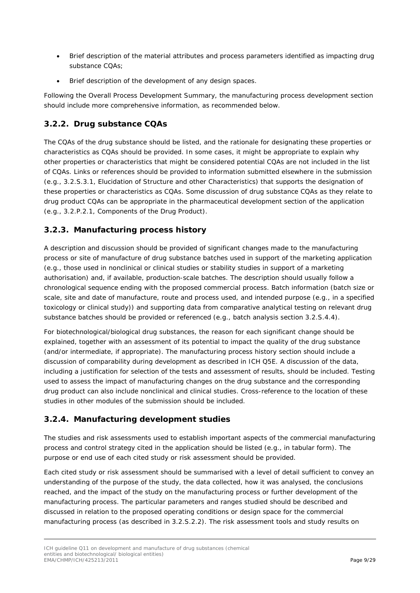- Brief description of the material attributes and process parameters identified as impacting drug substance CQAs;
- Brief description of the development of any design spaces.

Following the Overall Process Development Summary, the manufacturing process development section should include more comprehensive information, as recommended below.

### <span id="page-8-0"></span>**3.2.2. Drug substance CQAs**

The CQAs of the drug substance should be listed, and the rationale for designating these properties or characteristics as CQAs should be provided. In some cases, it might be appropriate to explain why other properties or characteristics that might be considered potential CQAs are not included in the list of CQAs. Links or references should be provided to information submitted elsewhere in the submission (e.g., 3.2.S.3.1, Elucidation of Structure and other Characteristics) that supports the designation of these properties or characteristics as CQAs. Some discussion of drug substance CQAs as they relate to drug product CQAs can be appropriate in the pharmaceutical development section of the application (e.g., 3.2.P.2.1, Components of the Drug Product).

### <span id="page-8-1"></span>**3.2.3. Manufacturing process history**

A description and discussion should be provided of significant changes made to the manufacturing process or site of manufacture of drug substance batches used in support of the marketing application (e.g., those used in nonclinical or clinical studies or stability studies in support of a marketing authorisation) and, if available, production-scale batches. The description should usually follow a chronological sequence ending with the proposed commercial process. Batch information (batch size or scale, site and date of manufacture, route and process used, and intended purpose (e.g., in a specified toxicology or clinical study)) and supporting data from comparative analytical testing on relevant drug substance batches should be provided or referenced (e.g., batch analysis section 3.2.S.4.4).

For biotechnological/biological drug substances, the reason for each significant change should be explained, together with an assessment of its potential to impact the quality of the drug substance (and/or intermediate, if appropriate). The manufacturing process history section should include a discussion of comparability during development as described in ICH Q5E. A discussion of the data, including a justification for selection of the tests and assessment of results, should be included. Testing used to assess the impact of manufacturing changes on the drug substance and the corresponding drug product can also include nonclinical and clinical studies. Cross-reference to the location of these studies in other modules of the submission should be included.

#### <span id="page-8-2"></span>**3.2.4. Manufacturing development studies**

The studies and risk assessments used to establish important aspects of the commercial manufacturing process and control strategy cited in the application should be listed (e.g., in tabular form). The purpose or end use of each cited study or risk assessment should be provided.

Each cited study or risk assessment should be summarised with a level of detail sufficient to convey an understanding of the purpose of the study, the data collected, how it was analysed, the conclusions reached, and the impact of the study on the manufacturing process or further development of the manufacturing process. The particular parameters and ranges studied should be described and discussed in relation to the proposed operating conditions or design space for the commercial manufacturing process (as described in 3.2.S.2.2). The risk assessment tools and study results on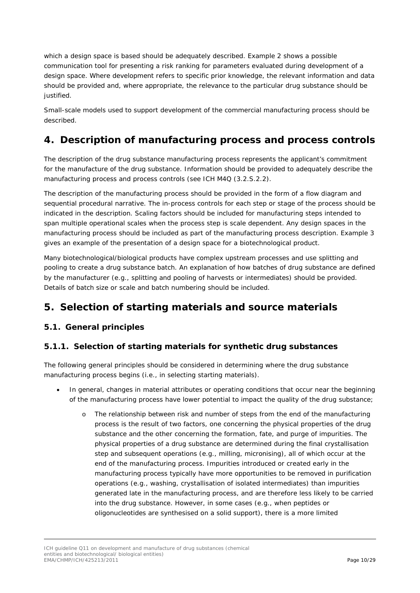which a design space is based should be adequately described. Example 2 shows a possible communication tool for presenting a risk ranking for parameters evaluated during development of a design space. Where development refers to specific prior knowledge, the relevant information and data should be provided and, where appropriate, the relevance to the particular drug substance should be justified.

Small-scale models used to support development of the commercial manufacturing process should be described.

## <span id="page-9-0"></span>**4. Description of manufacturing process and process controls**

The description of the drug substance manufacturing process represents the applicant's commitment for the manufacture of the drug substance. Information should be provided to adequately describe the manufacturing process and process controls (see ICH M4Q (3.2.S.2.2).

The description of the manufacturing process should be provided in the form of a flow diagram and sequential procedural narrative. The in-process controls for each step or stage of the process should be indicated in the description. Scaling factors should be included for manufacturing steps intended to span multiple operational scales when the process step is scale dependent. Any design spaces in the manufacturing process should be included as part of the manufacturing process description. Example 3 gives an example of the presentation of a design space for a biotechnological product.

Many biotechnological/biological products have complex upstream processes and use splitting and pooling to create a drug substance batch. An explanation of how batches of drug substance are defined by the manufacturer (e.g., splitting and pooling of harvests or intermediates) should be provided. Details of batch size or scale and batch numbering should be included.

## <span id="page-9-1"></span>**5. Selection of starting materials and source materials**

#### <span id="page-9-2"></span>*5.1. General principles*

#### <span id="page-9-3"></span>**5.1.1. Selection of starting materials for synthetic drug substances**

The following general principles should be considered in determining where the drug substance manufacturing process begins (i.e., in selecting starting materials).

- In general, changes in material attributes or operating conditions that occur near the beginning of the manufacturing process have lower potential to impact the quality of the drug substance;
	- o The relationship between risk and number of steps from the end of the manufacturing process is the result of two factors, one concerning the physical properties of the drug substance and the other concerning the formation, fate, and purge of impurities. The physical properties of a drug substance are determined during the final crystallisation step and subsequent operations (e.g., milling, micronising), all of which occur at the end of the manufacturing process. Impurities introduced or created early in the manufacturing process typically have more opportunities to be removed in purification operations (e.g., washing, crystallisation of isolated intermediates) than impurities generated late in the manufacturing process, and are therefore less likely to be carried into the drug substance. However, in some cases (e.g., when peptides or oligonucleotides are synthesised on a solid support), there is a more limited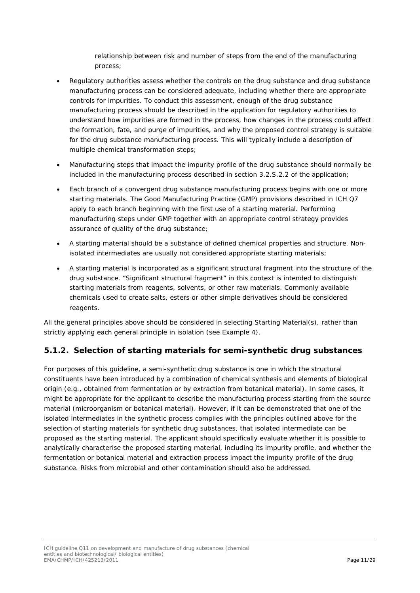relationship between risk and number of steps from the end of the manufacturing process;

- Regulatory authorities assess whether the controls on the drug substance and drug substance manufacturing process can be considered adequate, including whether there are appropriate controls for impurities. To conduct this assessment, enough of the drug substance manufacturing process should be described in the application for regulatory authorities to understand how impurities are formed in the process, how changes in the process could affect the formation, fate, and purge of impurities, and why the proposed control strategy is suitable for the drug substance manufacturing process. This will typically include a description of multiple chemical transformation steps;
- Manufacturing steps that impact the impurity profile of the drug substance should normally be included in the manufacturing process described in section 3.2.S.2.2 of the application;
- Each branch of a convergent drug substance manufacturing process begins with one or more starting materials. The Good Manufacturing Practice (GMP) provisions described in ICH Q7 apply to each branch beginning with the first use of a starting material. Performing manufacturing steps under GMP together with an appropriate control strategy provides assurance of quality of the drug substance;
- A starting material should be a substance of defined chemical properties and structure. Nonisolated intermediates are usually not considered appropriate starting materials;
- A starting material is incorporated as a significant structural fragment into the structure of the drug substance. "Significant structural fragment" in this context is intended to distinguish starting materials from reagents, solvents, or other raw materials. Commonly available chemicals used to create salts, esters or other simple derivatives should be considered reagents.

All the general principles above should be considered in selecting Starting Material(s), rather than strictly applying each general principle in isolation (see Example 4).

#### <span id="page-10-0"></span>**5.1.2. Selection of starting materials for semi-synthetic drug substances**

For purposes of this guideline, a semi-synthetic drug substance is one in which the structural constituents have been introduced by a combination of chemical synthesis and elements of biological origin (e.g., obtained from fermentation or by extraction from botanical material). In some cases, it might be appropriate for the applicant to describe the manufacturing process starting from the source material (microorganism or botanical material). However, if it can be demonstrated that one of the isolated intermediates in the synthetic process complies with the principles outlined above for the selection of starting materials for synthetic drug substances, that isolated intermediate can be proposed as the starting material. The applicant should specifically evaluate whether it is possible to analytically characterise the proposed starting material, including its impurity profile, and whether the fermentation or botanical material and extraction process impact the impurity profile of the drug substance. Risks from microbial and other contamination should also be addressed.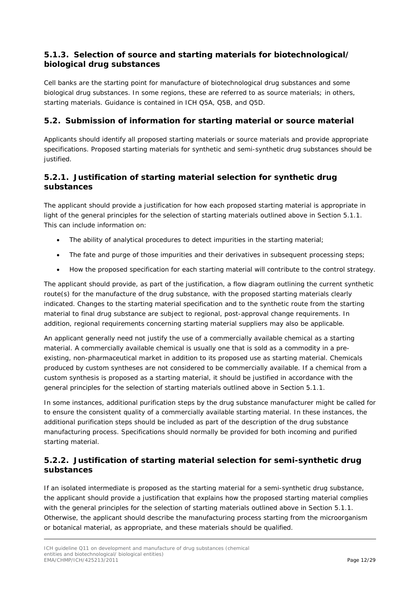#### <span id="page-11-0"></span>**5.1.3. Selection of source and starting materials for biotechnological/ biological drug substances**

Cell banks are the starting point for manufacture of biotechnological drug substances and some biological drug substances. In some regions, these are referred to as source materials; in others, starting materials. Guidance is contained in ICH Q5A, Q5B, and Q5D.

#### <span id="page-11-1"></span>*5.2. Submission of information for starting material or source material*

Applicants should identify all proposed starting materials or source materials and provide appropriate specifications. Proposed starting materials for synthetic and semi-synthetic drug substances should be justified.

#### <span id="page-11-2"></span>**5.2.1. Justification of starting material selection for synthetic drug substances**

The applicant should provide a justification for how each proposed starting material is appropriate in light of the general principles for the selection of starting materials outlined above in Section 5.1.1. This can include information on:

- The ability of analytical procedures to detect impurities in the starting material;
- The fate and purge of those impurities and their derivatives in subsequent processing steps;
- How the proposed specification for each starting material will contribute to the control strategy.

The applicant should provide, as part of the justification, a flow diagram outlining the current synthetic route(s) for the manufacture of the drug substance, with the proposed starting materials clearly indicated. Changes to the starting material specification and to the synthetic route from the starting material to final drug substance are subject to regional, post-approval change requirements. In addition, regional requirements concerning starting material suppliers may also be applicable.

An applicant generally need not justify the use of a commercially available chemical as a starting material. A commercially available chemical is usually one that is sold as a commodity in a preexisting, non-pharmaceutical market in addition to its proposed use as starting material. Chemicals produced by custom syntheses are not considered to be commercially available. If a chemical from a custom synthesis is proposed as a starting material, it should be justified in accordance with the general principles for the selection of starting materials outlined above in Section 5.1.1.

In some instances, additional purification steps by the drug substance manufacturer might be called for to ensure the consistent quality of a commercially available starting material. In these instances, the additional purification steps should be included as part of the description of the drug substance manufacturing process. Specifications should normally be provided for both incoming and purified starting material.

### <span id="page-11-3"></span>**5.2.2. Justification of starting material selection for semi-synthetic drug substances**

If an isolated intermediate is proposed as the starting material for a semi-synthetic drug substance, the applicant should provide a justification that explains how the proposed starting material complies with the general principles for the selection of starting materials outlined above in Section 5.1.1. Otherwise, the applicant should describe the manufacturing process starting from the microorganism or botanical material, as appropriate, and these materials should be qualified.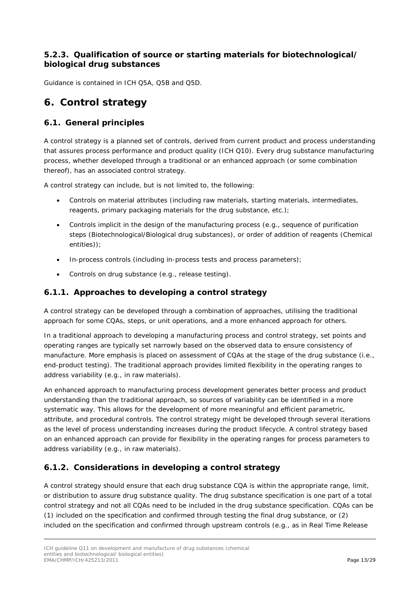#### <span id="page-12-0"></span>**5.2.3. Qualification of source or starting materials for biotechnological/ biological drug substances**

Guidance is contained in ICH Q5A, Q5B and Q5D.

# <span id="page-12-1"></span>**6. Control strategy**

### <span id="page-12-2"></span>*6.1. General principles*

A control strategy is a planned set of controls, derived from current product and process understanding that assures process performance and product quality (ICH Q10). Every drug substance manufacturing process, whether developed through a traditional or an enhanced approach (or some combination thereof), has an associated control strategy.

A control strategy can include, but is not limited to, the following:

- Controls on material attributes (including raw materials, starting materials, intermediates, reagents, primary packaging materials for the drug substance, etc.);
- Controls implicit in the design of the manufacturing process (e.g., sequence of purification steps (Biotechnological/Biological drug substances), or order of addition of reagents (Chemical entities));
- In-process controls (including in-process tests and process parameters);
- Controls on drug substance (e.g., release testing).

#### <span id="page-12-3"></span>**6.1.1. Approaches to developing a control strategy**

A control strategy can be developed through a combination of approaches, utilising the traditional approach for some CQAs, steps, or unit operations, and a more enhanced approach for others.

In a traditional approach to developing a manufacturing process and control strategy, set points and operating ranges are typically set narrowly based on the observed data to ensure consistency of manufacture. More emphasis is placed on assessment of CQAs at the stage of the drug substance (i.e., end-product testing). The traditional approach provides limited flexibility in the operating ranges to address variability (e.g., in raw materials).

An enhanced approach to manufacturing process development generates better process and product understanding than the traditional approach, so sources of variability can be identified in a more systematic way. This allows for the development of more meaningful and efficient parametric, attribute, and procedural controls. The control strategy might be developed through several iterations as the level of process understanding increases during the product lifecycle. A control strategy based on an enhanced approach can provide for flexibility in the operating ranges for process parameters to address variability (e.g., in raw materials).

#### <span id="page-12-4"></span>**6.1.2. Considerations in developing a control strategy**

A control strategy should ensure that each drug substance CQA is within the appropriate range, limit, or distribution to assure drug substance quality. The drug substance specification is one part of a total control strategy and not all CQAs need to be included in the drug substance specification. CQAs can be (1) included on the specification and confirmed through testing the final drug substance, or (2) included on the specification and confirmed through upstream controls (e.g., as in Real Time Release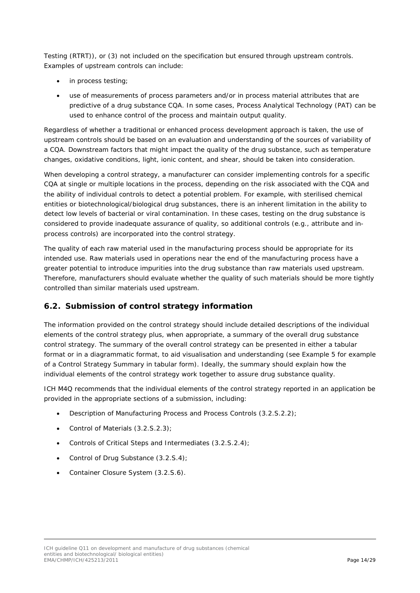Testing (RTRT)), or (3) not included on the specification but ensured through upstream controls. Examples of upstream controls can include:

- in process testing;
- use of measurements of process parameters and/or in process material attributes that are predictive of a drug substance CQA. In some cases, Process Analytical Technology (PAT) can be used to enhance control of the process and maintain output quality.

Regardless of whether a traditional or enhanced process development approach is taken, the use of upstream controls should be based on an evaluation and understanding of the sources of variability of a CQA. Downstream factors that might impact the quality of the drug substance, such as temperature changes, oxidative conditions, light, ionic content, and shear, should be taken into consideration.

When developing a control strategy, a manufacturer can consider implementing controls for a specific CQA at single or multiple locations in the process, depending on the risk associated with the CQA and the ability of individual controls to detect a potential problem. For example, with sterilised chemical entities or biotechnological/biological drug substances, there is an inherent limitation in the ability to detect low levels of bacterial or viral contamination. In these cases, testing on the drug substance is considered to provide inadequate assurance of quality, so additional controls (e.g., attribute and inprocess controls) are incorporated into the control strategy.

The quality of each raw material used in the manufacturing process should be appropriate for its intended use. Raw materials used in operations near the end of the manufacturing process have a greater potential to introduce impurities into the drug substance than raw materials used upstream. Therefore, manufacturers should evaluate whether the quality of such materials should be more tightly controlled than similar materials used upstream.

#### <span id="page-13-0"></span>*6.2. Submission of control strategy information*

The information provided on the control strategy should include detailed descriptions of the individual elements of the control strategy plus, when appropriate, a summary of the overall drug substance control strategy. The summary of the overall control strategy can be presented in either a tabular format or in a diagrammatic format, to aid visualisation and understanding (see Example 5 for example of a Control Strategy Summary in tabular form). Ideally, the summary should explain how the individual elements of the control strategy work together to assure drug substance quality.

ICH M4Q recommends that the individual elements of the control strategy reported in an application be provided in the appropriate sections of a submission, including:

- Description of Manufacturing Process and Process Controls (3.2.S.2.2);
- Control of Materials (3.2.S.2.3);
- Controls of Critical Steps and Intermediates (3.2.S.2.4);
- Control of Drug Substance (3.2.S.4);
- Container Closure System (3.2.S.6).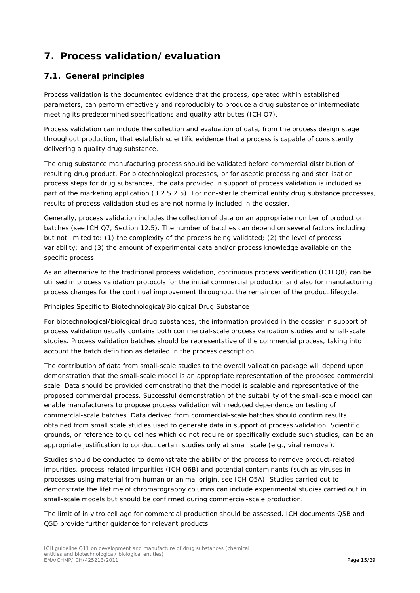# <span id="page-14-0"></span>**7. Process validation/evaluation**

### <span id="page-14-1"></span>*7.1. General principles*

Process validation is the documented evidence that the process, operated within established parameters, can perform effectively and reproducibly to produce a drug substance or intermediate meeting its predetermined specifications and quality attributes (ICH Q7).

Process validation can include the collection and evaluation of data, from the process design stage throughout production, that establish scientific evidence that a process is capable of consistently delivering a quality drug substance.

The drug substance manufacturing process should be validated before commercial distribution of resulting drug product. For biotechnological processes, or for aseptic processing and sterilisation process steps for drug substances, the data provided in support of process validation is included as part of the marketing application (3.2.S.2.5). For non-sterile chemical entity drug substance processes, results of process validation studies are not normally included in the dossier.

Generally, process validation includes the collection of data on an appropriate number of production batches (see ICH Q7, Section 12.5). The number of batches can depend on several factors including but not limited to: (1) the complexity of the process being validated; (2) the level of process variability; and (3) the amount of experimental data and/or process knowledge available on the specific process.

As an alternative to the traditional process validation, continuous process verification (ICH Q8) can be utilised in process validation protocols for the initial commercial production and also for manufacturing process changes for the continual improvement throughout the remainder of the product lifecycle.

Principles Specific to Biotechnological/Biological Drug Substance

For biotechnological/biological drug substances, the information provided in the dossier in support of process validation usually contains both commercial-scale process validation studies and small-scale studies. Process validation batches should be representative of the commercial process, taking into account the batch definition as detailed in the process description.

The contribution of data from small-scale studies to the overall validation package will depend upon demonstration that the small-scale model is an appropriate representation of the proposed commercial scale. Data should be provided demonstrating that the model is scalable and representative of the proposed commercial process. Successful demonstration of the suitability of the small-scale model can enable manufacturers to propose process validation with reduced dependence on testing of commercial-scale batches. Data derived from commercial-scale batches should confirm results obtained from small scale studies used to generate data in support of process validation. Scientific grounds, or reference to guidelines which do not require or specifically exclude such studies, can be an appropriate justification to conduct certain studies only at small scale (e.g., viral removal).

Studies should be conducted to demonstrate the ability of the process to remove product-related impurities, process-related impurities (ICH Q6B) and potential contaminants (such as viruses in processes using material from human or animal origin, see ICH Q5A). Studies carried out to demonstrate the lifetime of chromatography columns can include experimental studies carried out in small-scale models but should be confirmed during commercial-scale production.

The limit of in vitro cell age for commercial production should be assessed. ICH documents Q5B and Q5D provide further guidance for relevant products.

ICH guideline Q11 on development and manufacture of drug substances (chemical entities and biotechnological/ biological entities) EMA/CHMP/ICH/425213/2011 Page 15/29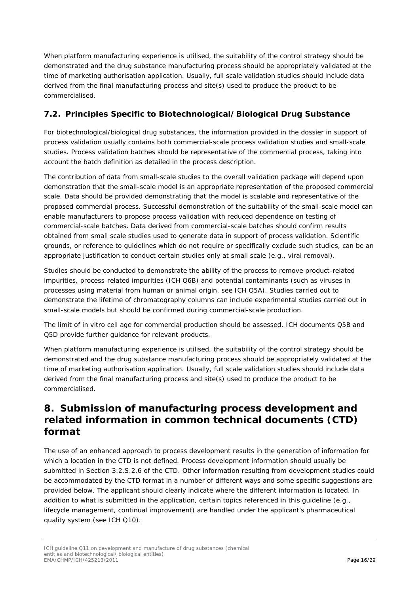When platform manufacturing experience is utilised, the suitability of the control strategy should be demonstrated and the drug substance manufacturing process should be appropriately validated at the time of marketing authorisation application. Usually, full scale validation studies should include data derived from the final manufacturing process and site(s) used to produce the product to be commercialised.

### <span id="page-15-0"></span>*7.2. Principles Specific to Biotechnological/Biological Drug Substance*

For biotechnological/biological drug substances, the information provided in the dossier in support of process validation usually contains both commercial-scale process validation studies and small-scale studies. Process validation batches should be representative of the commercial process, taking into account the batch definition as detailed in the process description.

The contribution of data from small-scale studies to the overall validation package will depend upon demonstration that the small-scale model is an appropriate representation of the proposed commercial scale. Data should be provided demonstrating that the model is scalable and representative of the proposed commercial process. Successful demonstration of the suitability of the small-scale model can enable manufacturers to propose process validation with reduced dependence on testing of commercial-scale batches. Data derived from commercial-scale batches should confirm results obtained from small scale studies used to generate data in support of process validation. Scientific grounds, or reference to guidelines which do not require or specifically exclude such studies, can be an appropriate justification to conduct certain studies only at small scale (e.g., viral removal).

Studies should be conducted to demonstrate the ability of the process to remove product-related impurities, process-related impurities (ICH Q6B) and potential contaminants (such as viruses in processes using material from human or animal origin, see ICH Q5A). Studies carried out to demonstrate the lifetime of chromatography columns can include experimental studies carried out in small-scale models but should be confirmed during commercial-scale production.

The limit of in vitro cell age for commercial production should be assessed. ICH documents Q5B and Q5D provide further guidance for relevant products.

When platform manufacturing experience is utilised, the suitability of the control strategy should be demonstrated and the drug substance manufacturing process should be appropriately validated at the time of marketing authorisation application. Usually, full scale validation studies should include data derived from the final manufacturing process and site(s) used to produce the product to be commercialised.

## <span id="page-15-1"></span>**8. Submission of manufacturing process development and related information in common technical documents (CTD) format**

The use of an enhanced approach to process development results in the generation of information for which a location in the CTD is not defined. Process development information should usually be submitted in Section 3.2.S.2.6 of the CTD. Other information resulting from development studies could be accommodated by the CTD format in a number of different ways and some specific suggestions are provided below. The applicant should clearly indicate where the different information is located. In addition to what is submitted in the application, certain topics referenced in this guideline (e.g., lifecycle management, continual improvement) are handled under the applicant's pharmaceutical quality system (see ICH Q10).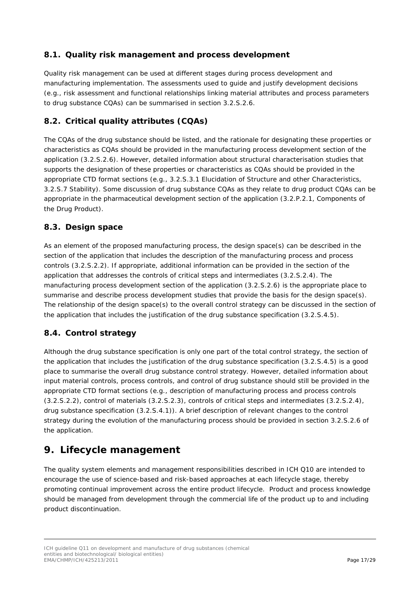### <span id="page-16-0"></span>*8.1. Quality risk management and process development*

Quality risk management can be used at different stages during process development and manufacturing implementation. The assessments used to guide and justify development decisions (e.g., risk assessment and functional relationships linking material attributes and process parameters to drug substance CQAs) can be summarised in section 3.2.S.2.6.

### <span id="page-16-1"></span>*8.2. Critical quality attributes (CQAs)*

The CQAs of the drug substance should be listed, and the rationale for designating these properties or characteristics as CQAs should be provided in the manufacturing process development section of the application (3.2.S.2.6). However, detailed information about structural characterisation studies that supports the designation of these properties or characteristics as CQAs should be provided in the appropriate CTD format sections (e.g., 3.2.S.3.1 Elucidation of Structure and other Characteristics, 3.2.S.7 Stability). Some discussion of drug substance CQAs as they relate to drug product CQAs can be appropriate in the pharmaceutical development section of the application (3.2.P.2.1, Components of the Drug Product).

#### <span id="page-16-2"></span>*8.3. Design space*

As an element of the proposed manufacturing process, the design space(s) can be described in the section of the application that includes the description of the manufacturing process and process controls (3.2.S.2.2). If appropriate, additional information can be provided in the section of the application that addresses the controls of critical steps and intermediates (3.2.S.2.4). The manufacturing process development section of the application (3.2.S.2.6) is the appropriate place to summarise and describe process development studies that provide the basis for the design space(s). The relationship of the design space(s) to the overall control strategy can be discussed in the section of the application that includes the justification of the drug substance specification (3.2.S.4.5).

### <span id="page-16-3"></span>*8.4. Control strategy*

Although the drug substance specification is only one part of the total control strategy, the section of the application that includes the justification of the drug substance specification (3.2.S.4.5) is a good place to summarise the overall drug substance control strategy. However, detailed information about input material controls, process controls, and control of drug substance should still be provided in the appropriate CTD format sections (e.g., description of manufacturing process and process controls (3.2.S.2.2), control of materials (3.2.S.2.3), controls of critical steps and intermediates (3.2.S.2.4), drug substance specification (3.2.S.4.1)). A brief description of relevant changes to the control strategy during the evolution of the manufacturing process should be provided in section 3.2.S.2.6 of the application.

## <span id="page-16-4"></span>**9. Lifecycle management**

The quality system elements and management responsibilities described in ICH Q10 are intended to encourage the use of science-based and risk-based approaches at each lifecycle stage, thereby promoting continual improvement across the entire product lifecycle. Product and process knowledge should be managed from development through the commercial life of the product up to and including product discontinuation.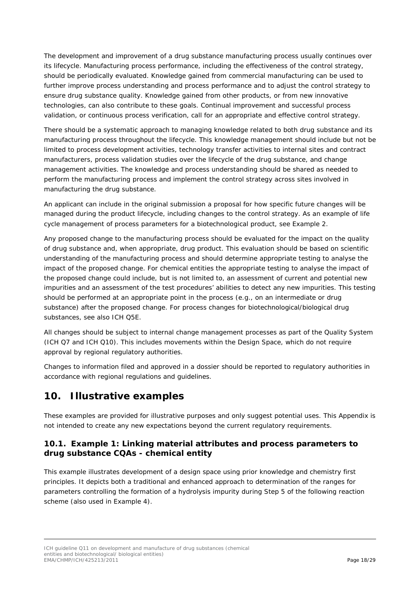The development and improvement of a drug substance manufacturing process usually continues over its lifecycle. Manufacturing process performance, including the effectiveness of the control strategy, should be periodically evaluated. Knowledge gained from commercial manufacturing can be used to further improve process understanding and process performance and to adjust the control strategy to ensure drug substance quality. Knowledge gained from other products, or from new innovative technologies, can also contribute to these goals. Continual improvement and successful process validation, or continuous process verification, call for an appropriate and effective control strategy.

There should be a systematic approach to managing knowledge related to both drug substance and its manufacturing process throughout the lifecycle. This knowledge management should include but not be limited to process development activities, technology transfer activities to internal sites and contract manufacturers, process validation studies over the lifecycle of the drug substance, and change management activities. The knowledge and process understanding should be shared as needed to perform the manufacturing process and implement the control strategy across sites involved in manufacturing the drug substance.

An applicant can include in the original submission a proposal for how specific future changes will be managed during the product lifecycle, including changes to the control strategy. As an example of life cycle management of process parameters for a biotechnological product, see Example 2.

Any proposed change to the manufacturing process should be evaluated for the impact on the quality of drug substance and, when appropriate, drug product. This evaluation should be based on scientific understanding of the manufacturing process and should determine appropriate testing to analyse the impact of the proposed change. For chemical entities the appropriate testing to analyse the impact of the proposed change could include, but is not limited to, an assessment of current and potential new impurities and an assessment of the test procedures' abilities to detect any new impurities. This testing should be performed at an appropriate point in the process (e.g., on an intermediate or drug substance) after the proposed change. For process changes for biotechnological/biological drug substances, see also ICH Q5E.

All changes should be subject to internal change management processes as part of the Quality System (ICH Q7 and ICH Q10). This includes movements within the Design Space, which do not require approval by regional regulatory authorities.

Changes to information filed and approved in a dossier should be reported to regulatory authorities in accordance with regional regulations and guidelines.

## <span id="page-17-0"></span>**10. Illustrative examples**

These examples are provided for illustrative purposes and only suggest potential uses. This Appendix is not intended to create any new expectations beyond the current regulatory requirements.

#### <span id="page-17-1"></span>*10.1. Example 1: Linking material attributes and process parameters to drug substance CQAs - chemical entity*

This example illustrates development of a design space using prior knowledge and chemistry first principles. It depicts both a traditional and enhanced approach to determination of the ranges for parameters controlling the formation of a hydrolysis impurity during Step 5 of the following reaction scheme (also used in Example 4).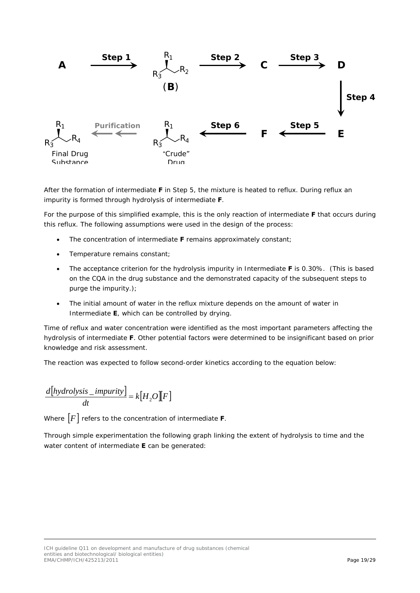

After the formation of intermediate **F** in Step 5, the mixture is heated to reflux. During reflux an impurity is formed through hydrolysis of intermediate **F**.

For the purpose of this simplified example, this is the only reaction of intermediate **F** that occurs during this reflux. The following assumptions were used in the design of the process:

- The concentration of intermediate **F** remains approximately constant;
- Temperature remains constant;
- The acceptance criterion for the hydrolysis impurity in Intermediate **F** is 0.30%. (This is based on the CQA in the drug substance and the demonstrated capacity of the subsequent steps to purge the impurity.);
- The initial amount of water in the reflux mixture depends on the amount of water in Intermediate **E**, which can be controlled by drying.

Time of reflux and water concentration were identified as the most important parameters affecting the hydrolysis of intermediate **F**. Other potential factors were determined to be insignificant based on prior knowledge and risk assessment.

The reaction was expected to follow second-order kinetics according to the equation below:

$$
\frac{d[hydrolysis\_impurity]}{dt} = k[H_2O][F]
$$

Where [*F*] refers to the concentration of intermediate **F**.

Through simple experimentation the following graph linking the extent of hydrolysis to time and the water content of intermediate **E** can be generated: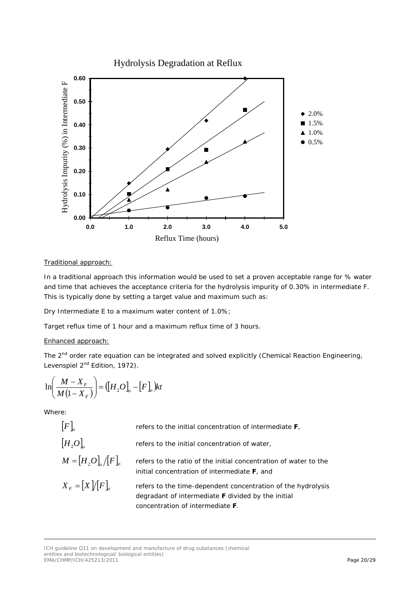Hydrolysis Degradation at Reflux



#### Traditional approach:

In a traditional approach this information would be used to set a proven acceptable range for % water and time that achieves the acceptance criteria for the hydrolysis impurity of 0.30% in intermediate F. This is typically done by setting a target value and maximum such as:

Dry Intermediate E to a maximum water content of 1.0%;

Target reflux time of 1 hour and a maximum reflux time of 3 hours.

#### Enhanced approach:

The 2<sup>nd</sup> order rate equation can be integrated and solved explicitly (Chemical Reaction Engineering, Levenspiel 2<sup>nd</sup> Edition, 1972).

$$
\ln\left(\frac{M-X_F}{M(1-X_F)}\right) = \left(\left[H_2O\right]_o - \left[F\right]_o\right)kt
$$

Where:

| [F]               | refers to the initial concentration of intermediate <b>F</b> ,                                                                                                        |
|-------------------|-----------------------------------------------------------------------------------------------------------------------------------------------------------------------|
| $[H, O]_{\circ}$  | refers to the initial concentration of water,                                                                                                                         |
| $M = [H,O]$       | refers to the ratio of the initial concentration of water to the<br>initial concentration of intermediate <b>F</b> , and                                              |
| $X_F = [X]/[F]_q$ | refers to the time-dependent concentration of the hydrolysis<br>degradant of intermediate <b>F</b> divided by the initial<br>concentration of intermediate <b>F</b> . |

ICH guideline Q11 on development and manufacture of drug substances (chemical entities and biotechnological/ biological entities) EMA/CHMP/ICH/425213/2011 Page 20/29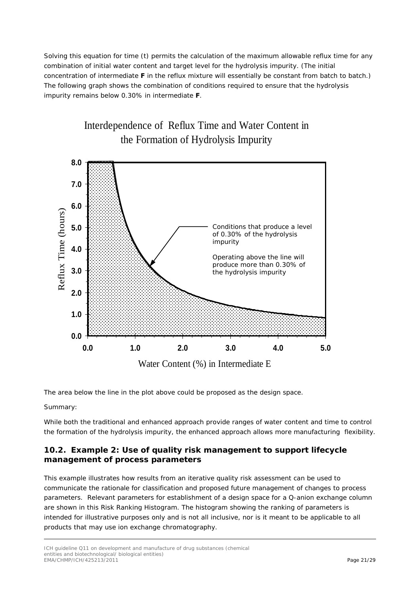Solving this equation for time (*t*) permits the calculation of the maximum allowable reflux time for any combination of initial water content and target level for the hydrolysis impurity. (The initial concentration of intermediate **F** in the reflux mixture will essentially be constant from batch to batch.) The following graph shows the combination of conditions required to ensure that the hydrolysis impurity remains below 0.30% in intermediate **F**.



The area below the line in the plot above could be proposed as the design space.

Summary:

While both the traditional and enhanced approach provide ranges of water content and time to control the formation of the hydrolysis impurity, the enhanced approach allows more manufacturing flexibility.

#### <span id="page-20-0"></span>*10.2. Example 2: Use of quality risk management to support lifecycle management of process parameters*

This example illustrates how results from an iterative quality risk assessment can be used to communicate the rationale for classification and proposed future management of changes to process parameters. Relevant parameters for establishment of a design space for a Q-anion exchange column are shown in this Risk Ranking Histogram. The histogram showing the ranking of parameters is intended for illustrative purposes only and is not all inclusive, nor is it meant to be applicable to all products that may use ion exchange chromatography.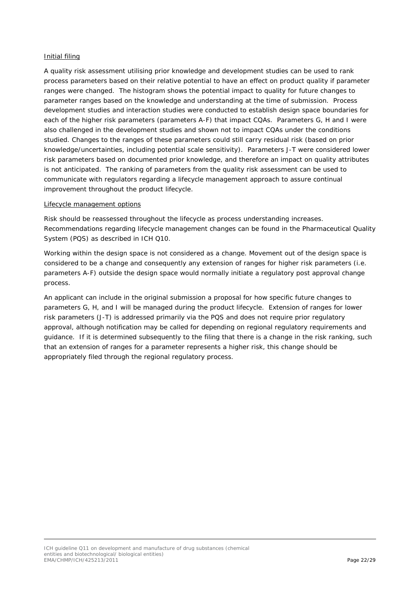#### Initial filing

A quality risk assessment utilising prior knowledge and development studies can be used to rank process parameters based on their relative potential to have an effect on product quality if parameter ranges were changed. The histogram shows the potential impact to quality for future changes to parameter ranges based on the knowledge and understanding at the time of submission. Process development studies and interaction studies were conducted to establish design space boundaries for each of the higher risk parameters (parameters A-F) that impact CQAs. Parameters G, H and I were also challenged in the development studies and shown not to impact CQAs under the conditions studied. Changes to the ranges of these parameters could still carry residual risk (based on prior knowledge/uncertainties, including potential scale sensitivity). Parameters J-T were considered lower risk parameters based on documented prior knowledge, and therefore an impact on quality attributes is not anticipated. The ranking of parameters from the quality risk assessment can be used to communicate with regulators regarding a lifecycle management approach to assure continual improvement throughout the product lifecycle.

#### Lifecycle management options

Risk should be reassessed throughout the lifecycle as process understanding increases. Recommendations regarding lifecycle management changes can be found in the Pharmaceutical Quality System (PQS) as described in ICH Q10.

Working within the design space is not considered as a change. Movement out of the design space is considered to be a change and consequently any extension of ranges for higher risk parameters (i.e. parameters A-F) outside the design space would normally initiate a regulatory post approval change process.

An applicant can include in the original submission a proposal for how specific future changes to parameters G, H, and I will be managed during the product lifecycle. Extension of ranges for lower risk parameters (J-T) is addressed primarily via the PQS and does not require prior regulatory approval, although notification may be called for depending on regional regulatory requirements and guidance. If it is determined subsequently to the filing that there is a change in the risk ranking, such that an extension of ranges for a parameter represents a higher risk, this change should be appropriately filed through the regional regulatory process.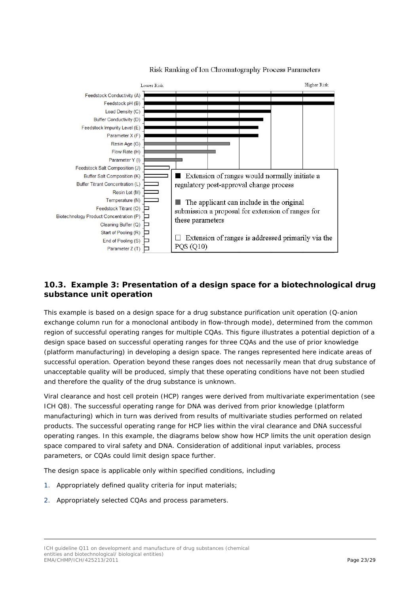

#### Risk Ranking of Ion Chromatography Process Parameters

### <span id="page-22-0"></span>*10.3. Example 3: Presentation of a design space for a biotechnological drug substance unit operation*

This example is based on a design space for a drug substance purification unit operation (Q-anion exchange column run for a monoclonal antibody in flow-through mode), determined from the common region of successful operating ranges for multiple CQAs. This figure illustrates a potential depiction of a design space based on successful operating ranges for three CQAs and the use of prior knowledge (platform manufacturing) in developing a design space. The ranges represented here indicate areas of successful operation. Operation beyond these ranges does not necessarily mean that drug substance of unacceptable quality will be produced, simply that these operating conditions have not been studied and therefore the quality of the drug substance is unknown.

Viral clearance and host cell protein (HCP) ranges were derived from multivariate experimentation (see ICH Q8). The successful operating range for DNA was derived from prior knowledge (platform manufacturing) which in turn was derived from results of multivariate studies performed on related products. The successful operating range for HCP lies within the viral clearance and DNA successful operating ranges. In this example, the diagrams below show how HCP limits the unit operation design space compared to viral safety and DNA. Consideration of additional input variables, process parameters, or CQAs could limit design space further.

The design space is applicable only within specified conditions, including

- 1. Appropriately defined quality criteria for input materials;
- 2. Appropriately selected CQAs and process parameters.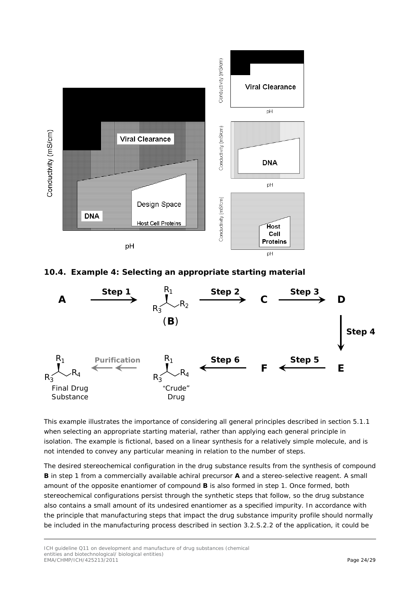

<span id="page-23-0"></span>*10.4. Example 4: Selecting an appropriate starting material* 



This example illustrates the importance of considering all general principles described in section 5.1.1 when selecting an appropriate starting material, rather than applying each general principle in isolation. The example is fictional, based on a linear synthesis for a relatively simple molecule, and is not intended to convey any particular meaning in relation to the number of steps.

The desired stereochemical configuration in the drug substance results from the synthesis of compound **B** in step 1 from a commercially available achiral precursor **A** and a stereo-selective reagent. A small amount of the opposite enantiomer of compound **B** is also formed in step 1. Once formed, both stereochemical configurations persist through the synthetic steps that follow, so the drug substance also contains a small amount of its undesired enantiomer as a specified impurity. In accordance with the principle that manufacturing steps that impact the drug substance impurity profile should normally be included in the manufacturing process described in section 3.2.S.2.2 of the application, it could be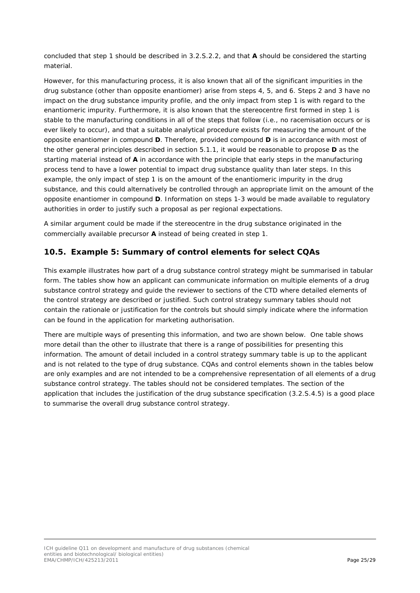concluded that step 1 should be described in 3.2.S.2.2, and that **A** should be considered the starting material.

However, for this manufacturing process, it is also known that all of the significant impurities in the drug substance (other than opposite enantiomer) arise from steps 4, 5, and 6. Steps 2 and 3 have no impact on the drug substance impurity profile, and the only impact from step 1 is with regard to the enantiomeric impurity. Furthermore, it is also known that the stereocentre first formed in step 1 is stable to the manufacturing conditions in all of the steps that follow (i.e., no racemisation occurs or is ever likely to occur), and that a suitable analytical procedure exists for measuring the amount of the opposite enantiomer in compound **D**. Therefore, provided compound **D** is in accordance with most of the other general principles described in section 5.1.1, it would be reasonable to propose **D** as the starting material instead of **A** in accordance with the principle that early steps in the manufacturing process tend to have a lower potential to impact drug substance quality than later steps. In this example, the only impact of step 1 is on the amount of the enantiomeric impurity in the drug substance, and this could alternatively be controlled through an appropriate limit on the amount of the opposite enantiomer in compound **D**. Information on steps 1-3 would be made available to regulatory authorities in order to justify such a proposal as per regional expectations.

A similar argument could be made if the stereocentre in the drug substance originated in the commercially available precursor **A** instead of being created in step 1.

#### <span id="page-24-0"></span>*10.5. Example 5: Summary of control elements for select CQAs*

This example illustrates how part of a drug substance control strategy might be summarised in tabular form. The tables show how an applicant can communicate information on multiple elements of a drug substance control strategy and guide the reviewer to sections of the CTD where detailed elements of the control strategy are described or justified. Such control strategy summary tables should not contain the rationale or justification for the controls but should simply indicate where the information can be found in the application for marketing authorisation.

There are multiple ways of presenting this information, and two are shown below. One table shows more detail than the other to illustrate that there is a range of possibilities for presenting this information. The amount of detail included in a control strategy summary table is up to the applicant and is not related to the type of drug substance. CQAs and control elements shown in the tables below are only examples and are not intended to be a comprehensive representation of all elements of a drug substance control strategy. The tables should not be considered templates. The section of the application that includes the justification of the drug substance specification (3.2.S.4.5) is a good place to summarise the overall drug substance control strategy.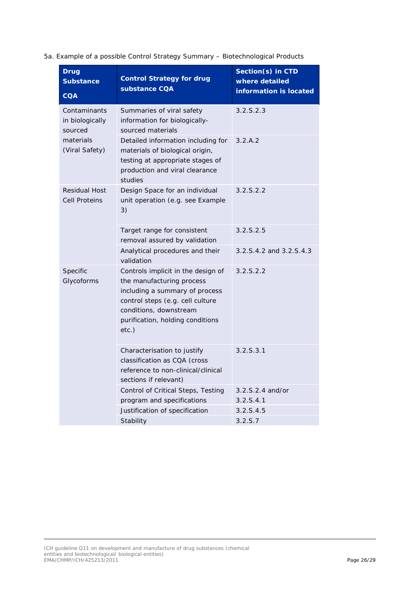#### 5a. Example of a possible Control Strategy Summary – Biotechnological Products

| <b>Drug</b><br><b>Substance</b><br><b>CQA</b> | <b>Control Strategy for drug</b><br>substance CQA                                                                                                                                                               | Section(s) in CTD<br>where detailed<br>information is located |  |
|-----------------------------------------------|-----------------------------------------------------------------------------------------------------------------------------------------------------------------------------------------------------------------|---------------------------------------------------------------|--|
| Contaminants<br>in biologically<br>sourced    | Summaries of viral safety<br>information for biologically-<br>sourced materials                                                                                                                                 | 3.2.5.2.3                                                     |  |
| materials<br>(Viral Safety)                   | Detailed information including for<br>materials of biological origin,<br>testing at appropriate stages of<br>production and viral clearance<br>studies                                                          | 3.2.A.2                                                       |  |
| <b>Residual Host</b><br><b>Cell Proteins</b>  | Design Space for an individual<br>unit operation (e.g. see Example<br>3)                                                                                                                                        | 3.2.5.2.2                                                     |  |
|                                               | Target range for consistent<br>removal assured by validation                                                                                                                                                    | 3.2.5.2.5                                                     |  |
|                                               | Analytical procedures and their<br>validation                                                                                                                                                                   | 3.2.S.4.2 and 3.2.S.4.3                                       |  |
| Specific<br>Glycoforms                        | Controls implicit in the design of<br>the manufacturing process<br>including a summary of process<br>control steps (e.g. cell culture<br>conditions, downstream<br>purification, holding conditions<br>$etc.$ ) | 3.2.5.2.2                                                     |  |
|                                               | Characterisation to justify<br>classification as CQA (cross<br>reference to non-clinical/clinical<br>sections if relevant)                                                                                      | 3.2.5.3.1                                                     |  |
|                                               | Control of Critical Steps, Testing<br>program and specifications                                                                                                                                                | $3.2.5.2.4$ and/or<br>3.2.5.4.1                               |  |
|                                               | Justification of specification                                                                                                                                                                                  | 3.2.5.4.5                                                     |  |
|                                               | Stability                                                                                                                                                                                                       | 3.2. S.7                                                      |  |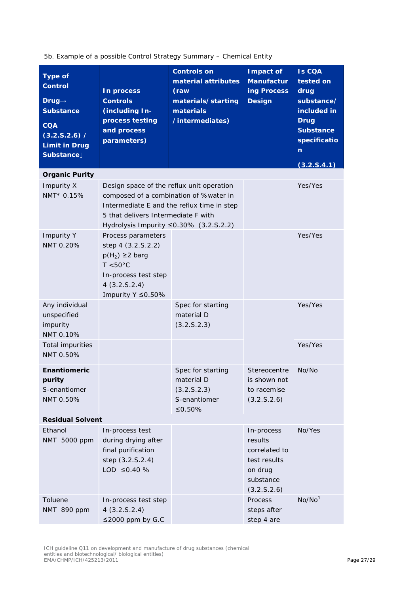5b. Example of a possible Control Strategy Summary – Chemical Entity

| <b>Type of</b><br><b>Control</b><br>Drug $\rightarrow$<br><b>Substance</b><br><b>COA</b><br>(3.2.5.2.6) /<br><b>Limit in Drug</b><br>Substance | In process<br><b>Controls</b><br>(including In-<br>process testing<br>and process<br>parameters)                                                                                                                   | <b>Controls on</b><br>material attributes<br>(raw<br>materials/starting<br>materials<br>/intermediates) | Impact of<br><b>Manufactur</b><br>ing Process<br><b>Design</b>                                | <b>Is COA</b><br>tested on<br>drug<br>substance/<br>included in<br><b>Drug</b><br><b>Substance</b><br>specificatio<br>n<br>(3.2.5.4.1) |
|------------------------------------------------------------------------------------------------------------------------------------------------|--------------------------------------------------------------------------------------------------------------------------------------------------------------------------------------------------------------------|---------------------------------------------------------------------------------------------------------|-----------------------------------------------------------------------------------------------|----------------------------------------------------------------------------------------------------------------------------------------|
| <b>Organic Purity</b>                                                                                                                          |                                                                                                                                                                                                                    |                                                                                                         |                                                                                               |                                                                                                                                        |
| Impurity X<br>NMT* 0.15%                                                                                                                       | Design space of the reflux unit operation<br>composed of a combination of %water in<br>Intermediate E and the reflux time in step<br>5 that delivers Intermediate F with<br>Hydrolysis Impurity ≤0.30% (3.2.S.2.2) |                                                                                                         |                                                                                               | Yes/Yes                                                                                                                                |
| <b>Impurity Y</b><br>NMT 0.20%                                                                                                                 | Process parameters<br>step 4 (3.2.S.2.2)<br>$p(H_2) \geq 2$ barg<br>$T < 50^{\circ}$ C<br>In-process test step<br>4(3.2.5.2.4)<br>Impurity Y ≤0.50%                                                                |                                                                                                         |                                                                                               | Yes/Yes                                                                                                                                |
| Any individual<br>unspecified<br>impurity<br>NMT 0.10%                                                                                         |                                                                                                                                                                                                                    | Spec for starting<br>material D<br>(3.2.5.2.3)                                                          |                                                                                               | Yes/Yes                                                                                                                                |
| <b>Total impurities</b><br>NMT 0.50%                                                                                                           |                                                                                                                                                                                                                    |                                                                                                         |                                                                                               | Yes/Yes                                                                                                                                |
| Enantiomeric<br>purity<br>S-enantiomer<br>NMT 0.50%                                                                                            |                                                                                                                                                                                                                    | Spec for starting<br>material D<br>(3.2.5.2.3)<br>S-enantiomer<br>≤0.50%                                | Stereocentre<br>is shown not<br>to racemise<br>(3.2.5.2.6)                                    | No/No                                                                                                                                  |
| <b>Residual Solvent</b>                                                                                                                        |                                                                                                                                                                                                                    |                                                                                                         |                                                                                               |                                                                                                                                        |
| Ethanol<br>NMT 5000 ppm                                                                                                                        | In-process test<br>during drying after<br>final purification<br>step (3.2.S.2.4)<br>LOD $\leq 0.40$ %                                                                                                              |                                                                                                         | In-process<br>results<br>correlated to<br>test results<br>on drug<br>substance<br>(3.2.5.2.6) | No/Yes                                                                                                                                 |
| Toluene<br>NMT 890 ppm                                                                                                                         | In-process test step<br>4(3.2.5.2.4)<br>$\leq$ 2000 ppm by G.C                                                                                                                                                     |                                                                                                         | Process<br>steps after<br>step 4 are                                                          | No/No <sup>1</sup>                                                                                                                     |

ICH guideline Q11 on development and manufacture of drug substances (chemical entities and biotechnological/ biological entities) EMA/CHMP/ICH/425213/2011 Page 27/29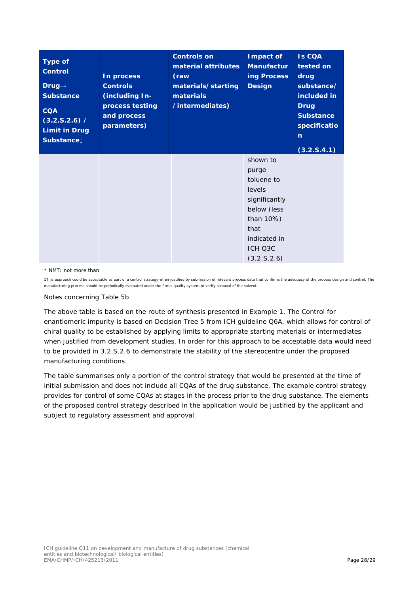| <b>Type of</b><br><b>Control</b><br>$Drug \rightarrow$<br><b>Substance</b><br><b>CQA</b><br>(3.2.5.2.6) /<br><b>Limit in Drug</b><br>Substance | In process<br><b>Controls</b><br>(including In-<br>process testing<br>and process<br>parameters) | <b>Controls on</b><br>material attributes<br>(raw<br>materials/starting<br>materials<br>/intermediates) | Impact of<br><b>Manufactur</b><br>ing Process<br><b>Design</b>                                                                           | <b>Is CQA</b><br>tested on<br>drug<br>substance/<br>included in<br><b>Drug</b><br><b>Substance</b><br>specificatio<br>$\mathbf n$<br>(3.2.5.4.1) |
|------------------------------------------------------------------------------------------------------------------------------------------------|--------------------------------------------------------------------------------------------------|---------------------------------------------------------------------------------------------------------|------------------------------------------------------------------------------------------------------------------------------------------|--------------------------------------------------------------------------------------------------------------------------------------------------|
|                                                                                                                                                |                                                                                                  |                                                                                                         | shown to<br>purge<br>toluene to<br>levels<br>significantly<br>below (less<br>than 10%)<br>that<br>indicated in<br>ICH Q3C<br>(3.2.5.2.6) |                                                                                                                                                  |

#### \* NMT: not more than

1This approach could be acceptable as part of a control strategy when justified by submission of relevant process data that confirms the adequacy of the process design and control. The manufacturing process should be periodically evaluated under the firm's quality system to verify removal of the solvent.

#### Notes concerning Table 5b

The above table is based on the route of synthesis presented in Example 1. The Control for enantiomeric impurity is based on Decision Tree 5 from ICH guideline Q6A, which allows for control of chiral quality to be established by applying limits to appropriate starting materials or intermediates when justified from development studies. In order for this approach to be acceptable data would need to be provided in 3.2.S.2.6 to demonstrate the stability of the stereocentre under the proposed manufacturing conditions.

The table summarises only a portion of the control strategy that would be presented at the time of initial submission and does not include all CQAs of the drug substance. The example control strategy provides for control of some CQAs at stages in the process prior to the drug substance. The elements of the proposed control strategy described in the application would be justified by the applicant and subject to regulatory assessment and approval.